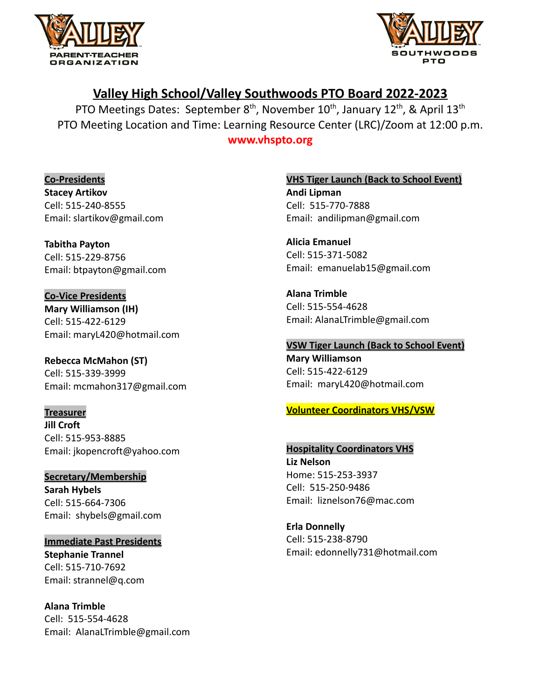



# **Valley High School/Valley Southwoods PTO Board 2022-2023**

PTO Meetings Dates: September  $8<sup>th</sup>$ , November 10<sup>th</sup>, January 12<sup>th</sup>, & April 13<sup>th</sup> PTO Meeting Location and Time: Learning Resource Center (LRC)/Zoom at 12:00 p.m.

**www.vhspto.org**

**Co-Presidents Stacey Artikov** Cell: 515-240-8555 Email: slartikov@gmail.com

**Tabitha Payton** Cell: 515-229-8756 Email: btpayton@gmail.com

**Co-Vice Presidents Mary Williamson (IH)** Cell: 515-422-6129 Email: maryL420@hotmail.com

**Rebecca McMahon (ST)** Cell: 515-339-3999 Email: mcmahon317@gmail.com

**Treasurer Jill Croft** Cell: 515-953-8885 Email: [jkopencroft@yahoo.com](mailto:jkopencroft@yahoo.com)

**Secretary/Membership Sarah Hybels** Cell: 515-664-7306 Email: shybels@gmail.com

**Immediate Past Presidents Stephanie Trannel** Cell: 515-710-7692 Email: strannel@q.com

**Alana Trimble** Cell: 515-554-4628 Email: AlanaLTrimble@gmail.com **VHS Tiger Launch (Back to School Event) Andi Lipman** Cell: 515-770-7888 Email: andilipman@gmail.com

**Alicia Emanuel** Cell: 515-371-5082 Email: emanuelab15@gmail.com

**Alana Trimble** Cell: 515-554-4628 Email: AlanaLTrimble@gmail.com

**VSW Tiger Launch (Back to School Event)**

**Mary Williamson** Cell: 515-422-6129 Email: [maryL420@hotmail.com](mailto:maryL420@hotmail.com)

# **Volunteer Coordinators VHS/VSW**

**Hospitality Coordinators VHS Liz Nelson** Home: 515-253-3937 Cell: 515-250-9486 Email: liznelson76@mac.com

**Erla Donnelly** Cell: 515-238-8790 Email: edonnelly731@hotmail.com